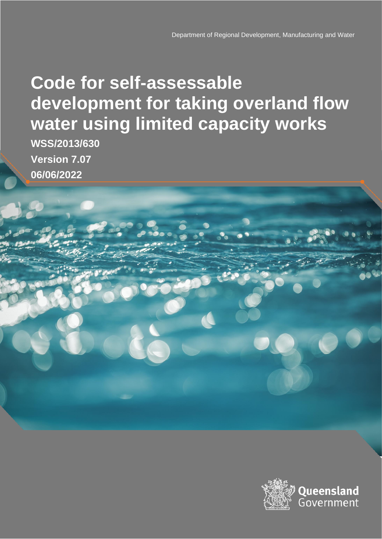# **Code for self-assessable development for taking overland flow water using limited capacity works**

**WSS/2013/630 Version 7.07 06/06/2022**

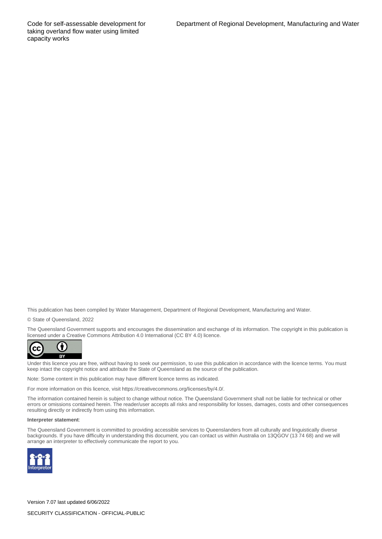Code for self-assessable development for taking overland flow water using limited capacity works

This publication has been compiled by Water Management, Department of Regional Development, Manufacturing and Water.

© State of Queensland, 2022

The Queensland Government supports and encourages the dissemination and exchange of its information. The copyright in this publication is licensed under a Creative Commons Attribution 4.0 International (CC BY 4.0) licence.



Under this licence you are free, without having to seek our permission, to use this publication in accordance with the licence terms. You must keep intact the copyright notice and attribute the State of Queensland as the source of the publication.

Note: Some content in this publication may have different licence terms as indicated.

For more information on this licence, visit https://creativecommons.org/licenses/by/4.0/.

The information contained herein is subject to change without notice. The Queensland Government shall not be liable for technical or other errors or omissions contained herein. The reader/user accepts all risks and responsibility for losses, damages, costs and other consequences resulting directly or indirectly from using this information.

#### **Interpreter statement**:

The Queensland Government is committed to providing accessible services to Queenslanders from all culturally and linguistically diverse backgrounds. If you have difficulty in understanding this document, you can contact us within Australia on 13QGOV (13 74 68) and we will arrange an interpreter to effectively communicate the report to you.



Version 7.07 last updated 6/06/2022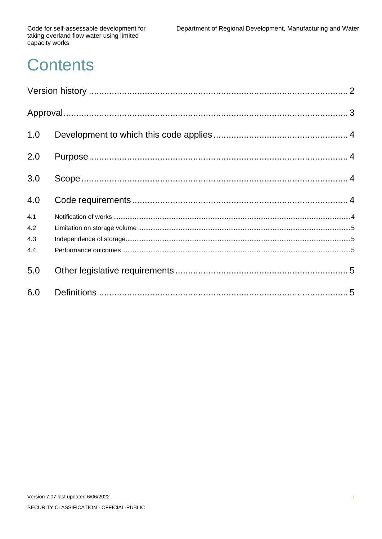Code for self-assessable development for<br>taking overland flow water using limited<br>capacity works

# **Contents**

| 1.0 |  |
|-----|--|
| 2.0 |  |
| 3.0 |  |
| 4.0 |  |
| 4.1 |  |
| 4.2 |  |
| 4.3 |  |
| 4.4 |  |
| 5.0 |  |
| 6.0 |  |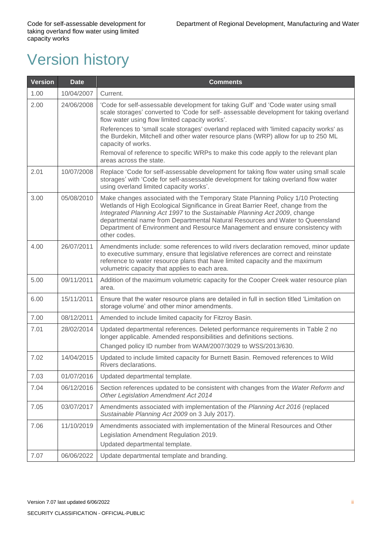# <span id="page-3-0"></span>Version history

| <b>Version</b> | <b>Date</b> | <b>Comments</b>                                                                                                                                                                                                                                                                                                                                                                                                                    |  |
|----------------|-------------|------------------------------------------------------------------------------------------------------------------------------------------------------------------------------------------------------------------------------------------------------------------------------------------------------------------------------------------------------------------------------------------------------------------------------------|--|
| 1.00           | 10/04/2007  | Current.                                                                                                                                                                                                                                                                                                                                                                                                                           |  |
| 2.00           | 24/06/2008  | 'Code for self-assessable development for taking Gulf' and 'Code water using small<br>scale storages' converted to 'Code for self- assessable development for taking overland<br>flow water using flow limited capacity works'.                                                                                                                                                                                                    |  |
|                |             | References to 'small scale storages' overland replaced with 'limited capacity works' as<br>the Burdekin, Mitchell and other water resource plans (WRP) allow for up to 250 ML<br>capacity of works.                                                                                                                                                                                                                                |  |
|                |             | Removal of reference to specific WRPs to make this code apply to the relevant plan<br>areas across the state.                                                                                                                                                                                                                                                                                                                      |  |
| 2.01           | 10/07/2008  | Replace 'Code for self-assessable development for taking flow water using small scale<br>storages' with 'Code for self-assessable development for taking overland flow water<br>using overland limited capacity works'.                                                                                                                                                                                                            |  |
| 3.00           | 05/08/2010  | Make changes associated with the Temporary State Planning Policy 1/10 Protecting<br>Wetlands of High Ecological Significance in Great Barrier Reef, change from the<br>Integrated Planning Act 1997 to the Sustainable Planning Act 2009, change<br>departmental name from Departmental Natural Resources and Water to Queensland<br>Department of Environment and Resource Management and ensure consistency with<br>other codes. |  |
| 4.00           | 26/07/2011  | Amendments include: some references to wild rivers declaration removed, minor update<br>to executive summary, ensure that legislative references are correct and reinstate<br>reference to water resource plans that have limited capacity and the maximum<br>volumetric capacity that applies to each area.                                                                                                                       |  |
| 5.00           | 09/11/2011  | Addition of the maximum volumetric capacity for the Cooper Creek water resource plan<br>area.                                                                                                                                                                                                                                                                                                                                      |  |
| 6.00           | 15/11/2011  | Ensure that the water resource plans are detailed in full in section titled 'Limitation on<br>storage volume' and other minor amendments.                                                                                                                                                                                                                                                                                          |  |
| 7.00           | 08/12/2011  | Amended to include limited capacity for Fitzroy Basin.                                                                                                                                                                                                                                                                                                                                                                             |  |
| 7.01           | 28/02/2014  | Updated departmental references. Deleted performance requirements in Table 2 no<br>longer applicable. Amended responsibilities and definitions sections.<br>Changed policy ID number from WAM/2007/3029 to WSS/2013/630.                                                                                                                                                                                                           |  |
| 7.02           | 14/04/2015  | Updated to include limited capacity for Burnett Basin. Removed references to Wild<br>Rivers declarations.                                                                                                                                                                                                                                                                                                                          |  |
| 7.03           | 01/07/2016  | Updated departmental template.                                                                                                                                                                                                                                                                                                                                                                                                     |  |
| 7.04           | 06/12/2016  | Section references updated to be consistent with changes from the Water Reform and<br>Other Legislation Amendment Act 2014                                                                                                                                                                                                                                                                                                         |  |
| 7.05           | 03/07/2017  | Amendments associated with implementation of the Planning Act 2016 (replaced<br>Sustainable Planning Act 2009 on 3 July 2017).                                                                                                                                                                                                                                                                                                     |  |
| 7.06           | 11/10/2019  | Amendments associated with implementation of the Mineral Resources and Other<br>Legislation Amendment Regulation 2019.                                                                                                                                                                                                                                                                                                             |  |
|                |             | Updated departmental template.                                                                                                                                                                                                                                                                                                                                                                                                     |  |
| 7.07           | 06/06/2022  | Update departmental template and branding.                                                                                                                                                                                                                                                                                                                                                                                         |  |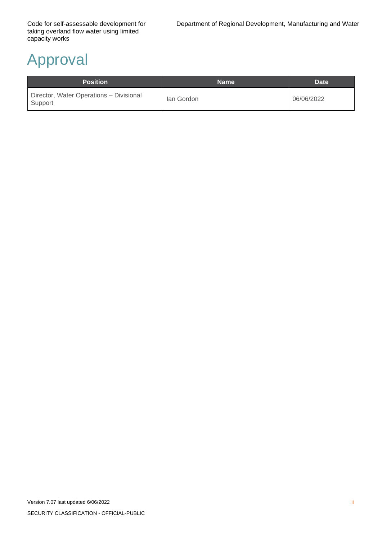# <span id="page-4-0"></span>Approval

| <b>Position</b>                                    | <b>Name</b> | Date <sup>1</sup> |
|----------------------------------------------------|-------------|-------------------|
| Director, Water Operations - Divisional<br>Support | lan Gordon  | 06/06/2022        |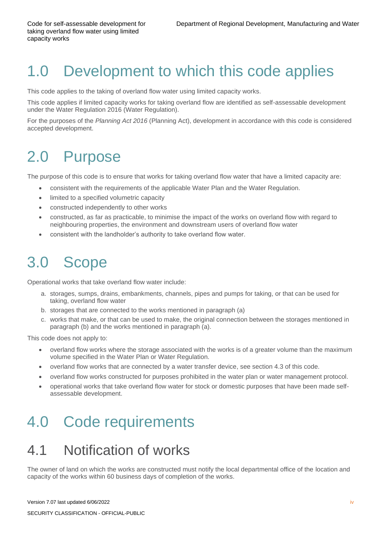## <span id="page-5-0"></span>1.0 Development to which this code applies

This code applies to the taking of overland flow water using limited capacity works.

This code applies if limited capacity works for taking overland flow are identified as self-assessable development under the Water Regulation 2016 (Water Regulation).

For the purposes of the *Planning Act 2016* (Planning Act), development in accordance with this code is considered accepted development.

## <span id="page-5-1"></span>2.0 Purpose

The purpose of this code is to ensure that works for taking overland flow water that have a limited capacity are:

- consistent with the requirements of the applicable Water Plan and the Water Regulation.
- limited to a specified volumetric capacity
- constructed independently to other works
- constructed, as far as practicable, to minimise the impact of the works on overland flow with regard to neighbouring properties, the environment and downstream users of overland flow water
- consistent with the landholder's authority to take overland flow water.

## <span id="page-5-2"></span>3.0 Scope

Operational works that take overland flow water include:

- a. storages, sumps, drains, embankments, channels, pipes and pumps for taking, or that can be used for taking, overland flow water
- b. storages that are connected to the works mentioned in paragraph (a)
- c. works that make, or that can be used to make, the original connection between the storages mentioned in paragraph (b) and the works mentioned in paragraph (a).

This code does not apply to:

- overland flow works where the storage associated with the works is of a greater volume than the maximum volume specified in the Water Plan or Water Regulation.
- overland flow works that are connected by a water transfer device, see section 4.3 of this code.
- overland flow works constructed for purposes prohibited in the water plan or water management protocol.
- operational works that take overland flow water for stock or domestic purposes that have been made selfassessable development.

#### <span id="page-5-3"></span>4.0 Code requirements

#### <span id="page-5-4"></span>4.1 Notification of works

The owner of land on which the works are constructed must notify the local departmental office of the location and capacity of the works within 60 business days of completion of the works.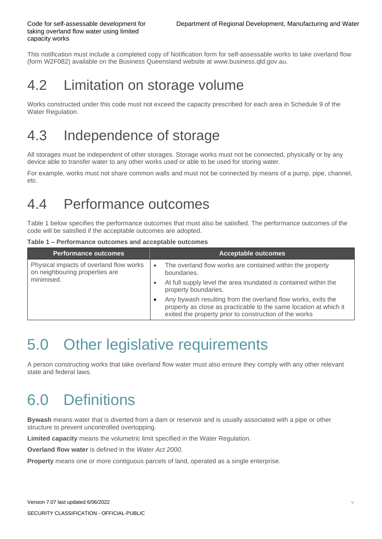This notification must include a completed copy of Notification form for self-assessable works to take overland flow (form W2F082) available on the Business Queensland website at [www.business.qld.gov.au.](http://www.business.qld.gov.au/)

#### <span id="page-6-0"></span>4.2 Limitation on storage volume

Works constructed under this code must not exceed the capacity prescribed for each area in Schedule 9 of the Water Regulation.

### <span id="page-6-1"></span>4.3 Independence of storage

All storages must be independent of other storages. Storage works must not be connected, physically or by any device able to transfer water to any other works used or able to be used for storing water.

For example, works must not share common walls and must not be connected by means of a pump, pipe, channel, etc.

#### <span id="page-6-2"></span>4.4 Performance outcomes

[Table 1](#page-6-5) below specifies the performance outcomes that must also be satisfied. The performance outcomes of the code will be satisfied if the acceptable outcomes are adopted.

<span id="page-6-5"></span>

|  |  | Table 1 - Performance outcomes and acceptable outcomes |  |  |  |  |
|--|--|--------------------------------------------------------|--|--|--|--|
|--|--|--------------------------------------------------------|--|--|--|--|

| <b>Performance outcomes</b>                                               | <b>Acceptable outcomes</b>                                                                                                                                                                  |
|---------------------------------------------------------------------------|---------------------------------------------------------------------------------------------------------------------------------------------------------------------------------------------|
| Physical impacts of overland flow works<br>on neighbouring properties are | The overland flow works are contained within the property<br>$\bullet$<br>boundaries.                                                                                                       |
| minimised.                                                                | At full supply level the area inundated is contained within the<br>$\bullet$<br>property boundaries.                                                                                        |
|                                                                           | Any bywash resulting from the overland flow works, exits the<br>property as close as practicable to the same location at which it<br>exited the property prior to construction of the works |

### <span id="page-6-3"></span>5.0 Other legislative requirements

A person constructing works that take overland flow water must also ensure they comply with any other relevant state and federal laws.

# <span id="page-6-4"></span>6.0 Definitions

**Bywash** means water that is diverted from a dam or reservoir and is usually associated with a pipe or other structure to prevent uncontrolled overtopping.

**Limited capacity** means the volumetric limit specified in the Water Regulation.

**Overland flow water** is defined in the *Water Act 2000*.

**Property** means one or more contiguous parcels of land, operated as a single enterprise.